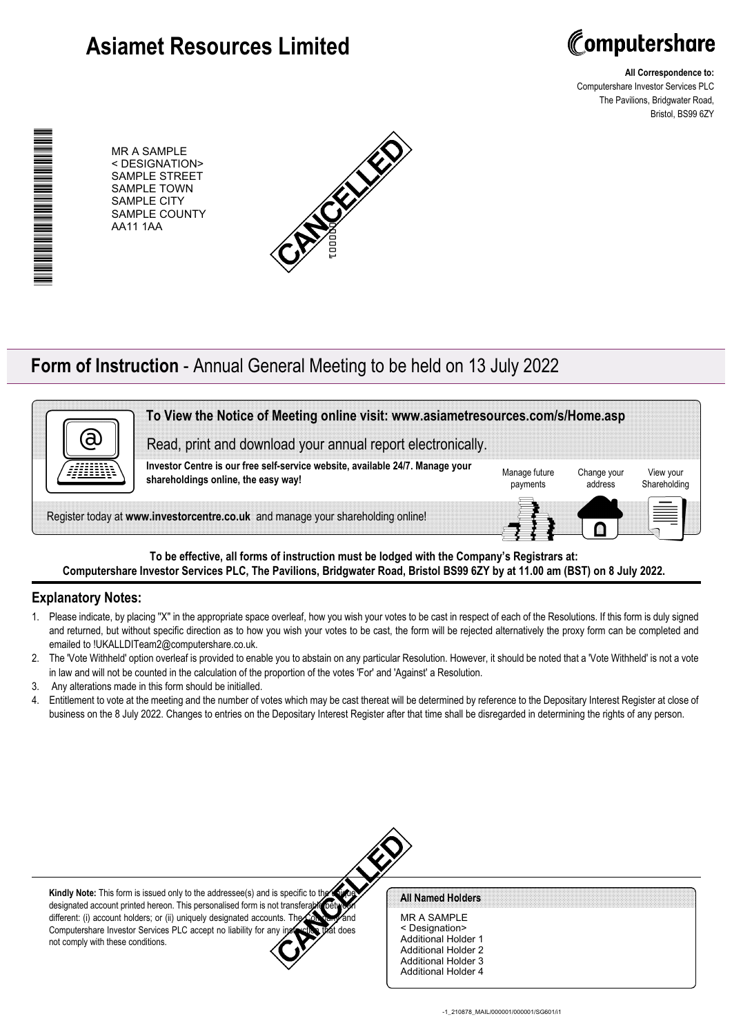# **Asiamet Resources Limited**



**All Correspondence to:** Computershare Investor Services PLC The Pavilions, Bridgwater Road, Bristol, BS99 6ZY

\*00000101010010\* ▊▊▊▊▊▊▊▊▊▊▊▊▊▊

MR A SAMPLE < DESIGNATION> SAMPLE STREET SAMPLE TOWN SAMPLE CITY SAMPLE COUNTY AA11 1AA



## **Form of Instruction** - Annual General Meeting to be held on 13 July 2022



**To be effective, all forms of instruction must be lodged with the Company's Registrars at: Computershare Investor Services PLC, The Pavilions, Bridgwater Road, Bristol BS99 6ZY by at 11.00 am (BST) on 8 July 2022.**

### **Explanatory Notes:**

- 1. Please indicate, by placing ''X'' in the appropriate space overleaf, how you wish your votes to be cast in respect of each of the Resolutions. If this form is duly signed and returned, but without specific direction as to how you wish your votes to be cast, the form will be rejected alternatively the proxy form can be completed and emailed to !UKALLDITeam2@computershare.co.uk.
- 2. The 'Vote Withheld' option overleaf is provided to enable you to abstain on any particular Resolution. However, it should be noted that a 'Vote Withheld' is not a vote in law and will not be counted in the calculation of the proportion of the votes 'For' and 'Against' a Resolution.
- 3. Any alterations made in this form should be initialled.
- 4. Entitlement to vote at the meeting and the number of votes which may be cast thereat will be determined by reference to the Depositary Interest Register at close of business on the 8 July 2022. Changes to entries on the Depositary Interest Register after that time shall be disregarded in determining the rights of any person.



**Kindly Note:** This form is issued only to the addressee(s) and is specific to the designated account printed hereon. This personalised form is not transferable between different: (i) account holders; or (ii) uniquely designated accounts. The Computershare Investor Services PLC accept no liability for any instruction that does not comply with these conditions.

#### All Named Holders

MR A SAMPLE < Designation> Additional Holder 1 Additional Holder 2 Additional Holder 3 Additional Holder 4

-1\_210878\_MAIL/000001/000001/SG601/i1